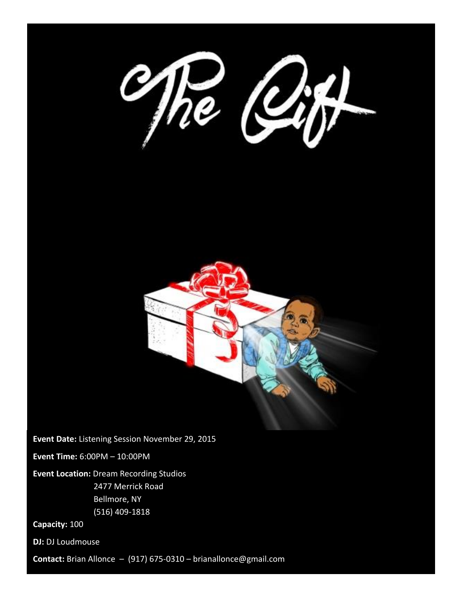



**Event Date:** Listening Session November 29, 2015

**Event Time:** 6:00PM – 10:00PM

**Event Location:** Dream Recording Studios 2477 Merrick Road Bellmore, NY (516) 409-1818

**Capacity:** 100

**DJ:** DJ Loudmouse

**Contact:** Brian Allonce – (917) 675-0310 – brianallonce@gmail.com